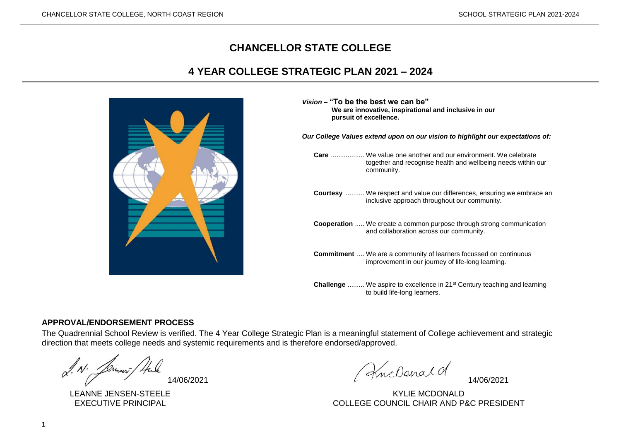# **CHANCELLOR STATE COLLEGE**

# **4 YEAR COLLEGE STRATEGIC PLAN 2021 – 2024**



| Vision – "To be the best we can be"<br>We are innovative, inspirational and inclusive in our<br>pursuit of excellence. |                                                                                                                                                  |  |  |  |  |  |  |  |  |  |
|------------------------------------------------------------------------------------------------------------------------|--------------------------------------------------------------------------------------------------------------------------------------------------|--|--|--|--|--|--|--|--|--|
| Our College Values extend upon on our vision to highlight our expectations of:                                         |                                                                                                                                                  |  |  |  |  |  |  |  |  |  |
|                                                                                                                        | <b>Care</b> We value one another and our environment. We celebrate<br>together and recognise health and wellbeing needs within our<br>community. |  |  |  |  |  |  |  |  |  |
|                                                                                                                        | <b>Courtesy</b> We respect and value our differences, ensuring we embrace an<br>inclusive approach throughout our community.                     |  |  |  |  |  |  |  |  |  |
|                                                                                                                        | <b>Cooperation</b> We create a common purpose through strong communication<br>and collaboration across our community.                            |  |  |  |  |  |  |  |  |  |
|                                                                                                                        | <b>Commitment</b> We are a community of learners focussed on continuous<br>improvement in our journey of life-long learning.                     |  |  |  |  |  |  |  |  |  |
|                                                                                                                        | <b>Challenge</b> We aspire to excellence in 21 <sup>st</sup> Century teaching and learning<br>to build life-long learners.                       |  |  |  |  |  |  |  |  |  |

#### **APPROVAL/ENDORSEMENT PROCESS**

The Quadrennial School Review is verified. The 4 Year College Strategic Plan is a meaningful statement of College achievement and strategic direction that meets college needs and systemic requirements and is therefore endorsed/approved.

 $\alpha''$ . N. Jement/Hule 14/06/2021 ... (KncDenald 14/06/2021

LEANNE JENSEN-STEELE KYLIE MCDONALD EXECUTIVE PRINCIPAL COLLEGE COUNCIL CHAIR AND P&C PRESIDENT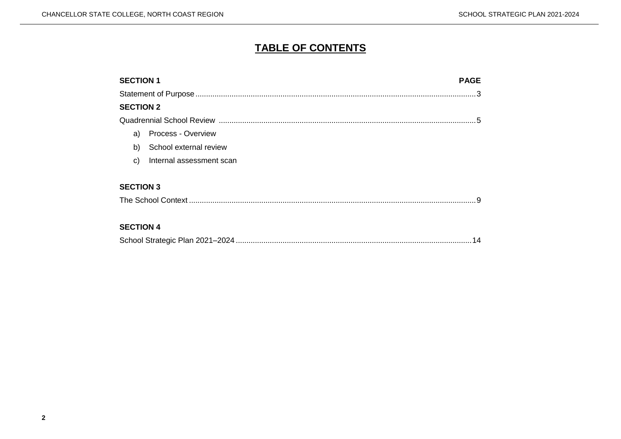# **TABLE OF CONTENTS**

| <b>SECTION 1</b><br><b>PAGE</b> |    |
|---------------------------------|----|
|                                 |    |
| <b>SECTION 2</b>                |    |
|                                 | -5 |
| <b>Process - Overview</b><br>a) |    |
| b)<br>School external review    |    |
| Internal assessment scan<br>C)  |    |
| <b>SECTION 3</b>                |    |
| <b>SECTION 4</b>                |    |

|--|--|--|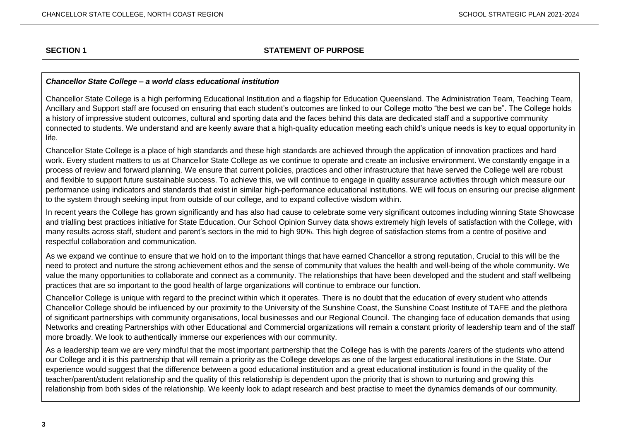#### **SECTION 1 STATEMENT OF PURPOSE**

#### *Chancellor State College – a world class educational institution*

Chancellor State College is a high performing Educational Institution and a flagship for Education Queensland. The Administration Team, Teaching Team, Ancillary and Support staff are focused on ensuring that each student's outcomes are linked to our College motto "the best we can be". The College holds a history of impressive student outcomes, cultural and sporting data and the faces behind this data are dedicated staff and a supportive community connected to students. We understand and are keenly aware that a high-quality education meeting each child's unique needs is key to equal opportunity in life.

Chancellor State College is a place of high standards and these high standards are achieved through the application of innovation practices and hard work. Every student matters to us at Chancellor State College as we continue to operate and create an inclusive environment. We constantly engage in a process of review and forward planning. We ensure that current policies, practices and other infrastructure that have served the College well are robust and flexible to support future sustainable success. To achieve this, we will continue to engage in quality assurance activities through which measure our performance using indicators and standards that exist in similar high-performance educational institutions. WE will focus on ensuring our precise alignment to the system through seeking input from outside of our college, and to expand collective wisdom within.

In recent years the College has grown significantly and has also had cause to celebrate some very significant outcomes including winning State Showcase and trialling best practices initiative for State Education. Our School Opinion Survey data shows extremely high levels of satisfaction with the College, with many results across staff, student and parent's sectors in the mid to high 90%. This high degree of satisfaction stems from a centre of positive and respectful collaboration and communication.

As we expand we continue to ensure that we hold on to the important things that have earned Chancellor a strong reputation, Crucial to this will be the need to protect and nurture the strong achievement ethos and the sense of community that values the health and well-being of the whole community. We value the many opportunities to collaborate and connect as a community. The relationships that have been developed and the student and staff wellbeing practices that are so important to the good health of large organizations will continue to embrace our function.

Chancellor College is unique with regard to the precinct within which it operates. There is no doubt that the education of every student who attends Chancellor College should be influenced by our proximity to the University of the Sunshine Coast, the Sunshine Coast Institute of TAFE and the plethora of significant partnerships with community organisations, local businesses and our Regional Council. The changing face of education demands that using Networks and creating Partnerships with other Educational and Commercial organizations will remain a constant priority of leadership team and of the staff more broadly. We look to authentically immerse our experiences with our community.

As a leadership team we are very mindful that the most important partnership that the College has is with the parents /carers of the students who attend our College and it is this partnership that will remain a priority as the College develops as one of the largest educational institutions in the State. Our experience would suggest that the difference between a good educational institution and a great educational institution is found in the quality of the teacher/parent/student relationship and the quality of this relationship is dependent upon the priority that is shown to nurturing and growing this relationship from both sides of the relationship. We keenly look to adapt research and best practise to meet the dynamics demands of our community.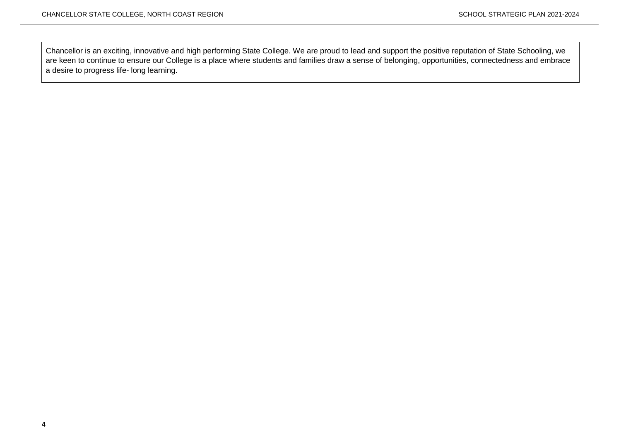Chancellor is an exciting, innovative and high performing State College. We are proud to lead and support the positive reputation of State Schooling, we are keen to continue to ensure our College is a place where students and families draw a sense of belonging, opportunities, connectedness and embrace a desire to progress life- long learning.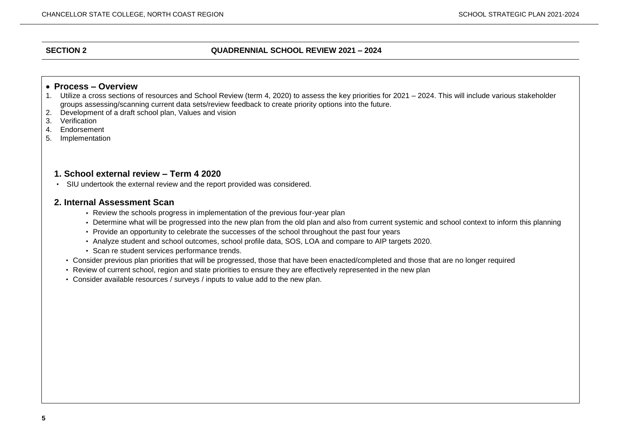#### **SECTION 2 QUADRENNIAL SCHOOL REVIEW 2021 – 2024**

#### • **Process – Overview**

- 1. Utilize a cross sections of resources and School Review (term 4, 2020) to assess the key priorities for 2021 2024. This will include various stakeholder groups assessing/scanning current data sets/review feedback to create priority options into the future.
- 2. Development of a draft school plan, Values and vision
- 3. Verification
- 4. Endorsement
- 5. Implementation

#### **1. School external review – Term 4 2020**

• SIU undertook the external review and the report provided was considered.

#### **2. Internal Assessment Scan**

- Review the schools progress in implementation of the previous four-year plan
- Determine what will be progressed into the new plan from the old plan and also from current systemic and school context to inform this planning
- Provide an opportunity to celebrate the successes of the school throughout the past four years
- Analyze student and school outcomes, school profile data, SOS, LOA and compare to AIP targets 2020.
- Scan re student services performance trends.
- Consider previous plan priorities that will be progressed, those that have been enacted/completed and those that are no longer required
- Review of current school, region and state priorities to ensure they are effectively represented in the new plan
- Consider available resources / surveys / inputs to value add to the new plan.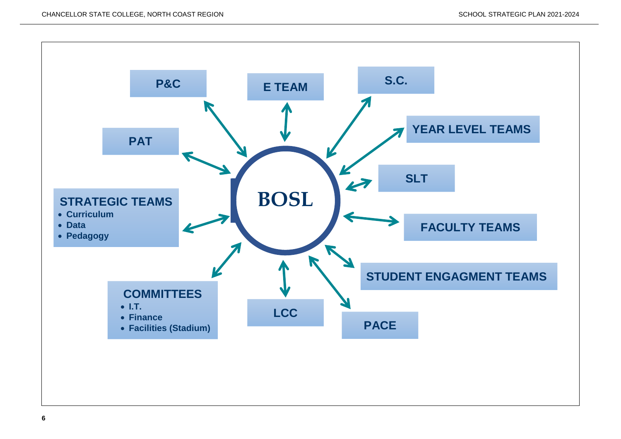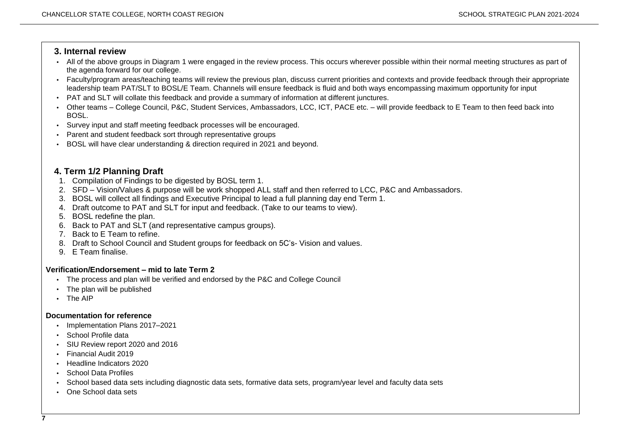#### **3. Internal review**

- All of the above groups in Diagram 1 were engaged in the review process. This occurs wherever possible within their normal meeting structures as part of the agenda forward for our college.
- Faculty/program areas/teaching teams will review the previous plan, discuss current priorities and contexts and provide feedback through their appropriate leadership team PAT/SLT to BOSL/E Team. Channels will ensure feedback is fluid and both ways encompassing maximum opportunity for input
- PAT and SLT will collate this feedback and provide a summary of information at different junctures.
- Other teams College Council, P&C, Student Services, Ambassadors, LCC, ICT, PACE etc. will provide feedback to E Team to then feed back into BOSL.
- Survey input and staff meeting feedback processes will be encouraged.
- Parent and student feedback sort through representative groups
- BOSL will have clear understanding & direction required in 2021 and beyond.

## **4. Term 1/2 Planning Draft**

- 1. Compilation of Findings to be digested by BOSL term 1.
- 2. SFD Vision/Values & purpose will be work shopped ALL staff and then referred to LCC, P&C and Ambassadors.
- 3. BOSL will collect all findings and Executive Principal to lead a full planning day end Term 1.
- 4. Draft outcome to PAT and SLT for input and feedback. (Take to our teams to view).
- 5. BOSL redefine the plan.
- 6. Back to PAT and SLT (and representative campus groups).
- 7. Back to E Team to refine.
- 8. Draft to School Council and Student groups for feedback on 5C's- Vision and values.
- 9. E Team finalise.

#### **Verification/Endorsement – mid to late Term 2**

- The process and plan will be verified and endorsed by the P&C and College Council
- The plan will be published
- The AIP

#### **Documentation for reference**

- Implementation Plans 2017–2021
- School Profile data
- SIU Review report 2020 and 2016
- Financial Audit 2019
- Headline Indicators 2020
- School Data Profiles
- School based data sets including diagnostic data sets, formative data sets, program/year level and faculty data sets
- One School data sets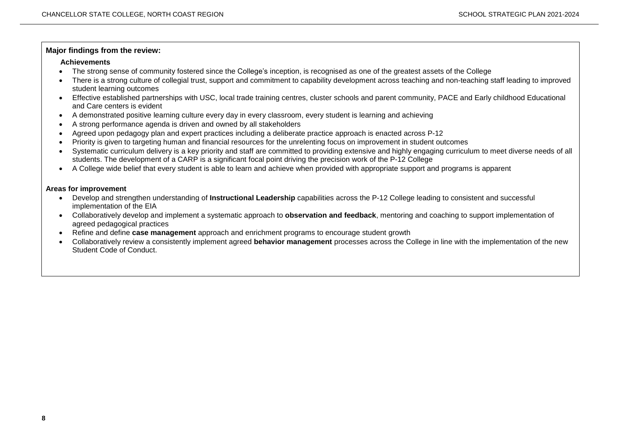#### **Major findings from the review:**

#### **Achievements**

- The strong sense of community fostered since the College's inception, is recognised as one of the greatest assets of the College
- There is a strong culture of collegial trust, support and commitment to capability development across teaching and non-teaching staff leading to improved student learning outcomes
- Effective established partnerships with USC, local trade training centres, cluster schools and parent community, PACE and Early childhood Educational and Care centers is evident
- A demonstrated positive learning culture every day in every classroom, every student is learning and achieving
- A strong performance agenda is driven and owned by all stakeholders
- Agreed upon pedagogy plan and expert practices including a deliberate practice approach is enacted across P-12
- Priority is given to targeting human and financial resources for the unrelenting focus on improvement in student outcomes
- Systematic curriculum delivery is a key priority and staff are committed to providing extensive and highly engaging curriculum to meet diverse needs of all students. The development of a CARP is a significant focal point driving the precision work of the P-12 College
- A College wide belief that every student is able to learn and achieve when provided with appropriate support and programs is apparent

#### **Areas for improvement**

- Develop and strengthen understanding of **Instructional Leadership** capabilities across the P-12 College leading to consistent and successful implementation of the EIA
- Collaboratively develop and implement a systematic approach to **observation and feedback**, mentoring and coaching to support implementation of agreed pedagogical practices
- Refine and define **case management** approach and enrichment programs to encourage student growth
- Collaboratively review a consistently implement agreed **behavior management** processes across the College in line with the implementation of the new Student Code of Conduct.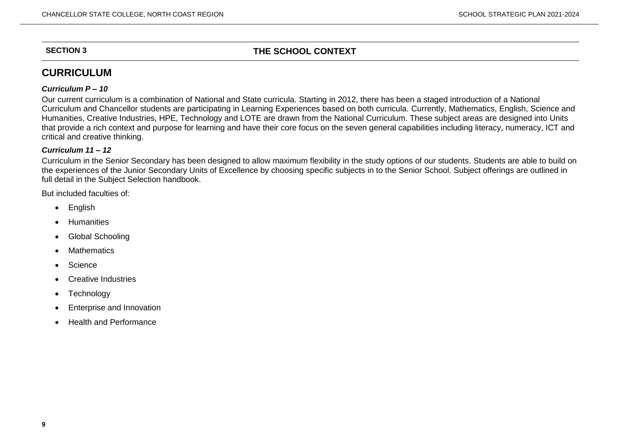## **SECTION 3 THE SCHOOL CONTEXT**

# **CURRICULUM**

#### *Curriculum P – 10*

Our current curriculum is a combination of National and State curricula. Starting in 2012, there has been a staged introduction of a National Curriculum and Chancellor students are participating in Learning Experiences based on both curricula. Currently, Mathematics, English, Science and Humanities, Creative Industries, HPE, Technology and LOTE are drawn from the National Curriculum. These subject areas are designed into Units that provide a rich context and purpose for learning and have their core focus on the seven general capabilities including literacy, numeracy, ICT and critical and creative thinking.

#### *Curriculum 11 – 12*

Curriculum in the Senior Secondary has been designed to allow maximum flexibility in the study options of our students. Students are able to build on the experiences of the Junior Secondary Units of Excellence by choosing specific subjects in to the Senior School. Subject offerings are outlined in full detail in the Subject Selection handbook.

But included faculties of:

- English
- Humanities
- Global Schooling
- Mathematics
- Science
- Creative Industries
- **Technology**
- Enterprise and Innovation
- Health and Performance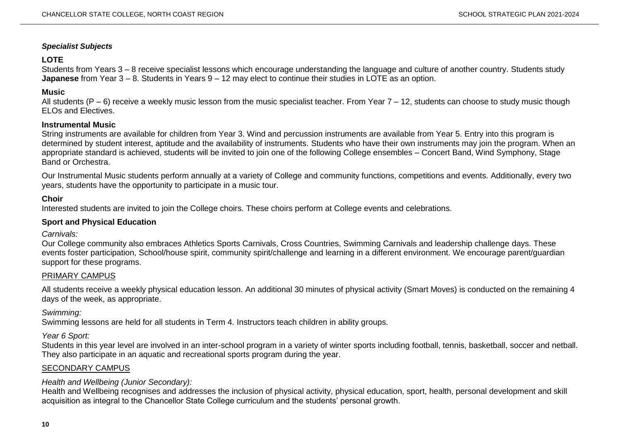#### *Specialist Subjects*

### **LOTE**

Students from Years 3 – 8 receive specialist lessons which encourage understanding the language and culture of another country. Students study **Japanese** from Year 3 – 8. Students in Years 9 – 12 may elect to continue their studies in LOTE as an option.

#### **Music**

All students (P – 6) receive a weekly music lesson from the music specialist teacher. From Year 7 – 12, students can choose to study music though ELOs and Electives.

#### **Instrumental Music**

String instruments are available for children from Year 3. Wind and percussion instruments are available from Year 5. Entry into this program is determined by student interest, aptitude and the availability of instruments. Students who have their own instruments may join the program. When an appropriate standard is achieved, students will be invited to join one of the following College ensembles – Concert Band, Wind Symphony, Stage Band or Orchestra.

Our Instrumental Music students perform annually at a variety of College and community functions, competitions and events. Additionally, every two years, students have the opportunity to participate in a music tour.

#### **Choir**

Interested students are invited to join the College choirs. These choirs perform at College events and celebrations.

#### **Sport and Physical Education**

*Carnivals:*

Our College community also embraces Athletics Sports Carnivals, Cross Countries, Swimming Carnivals and leadership challenge days. These events foster participation, School/house spirit, community spirit/challenge and learning in a different environment. We encourage parent/guardian support for these programs.

#### PRIMARY CAMPUS

All students receive a weekly physical education lesson. An additional 30 minutes of physical activity (Smart Moves) is conducted on the remaining 4 days of the week, as appropriate.

#### *Swimming:*

Swimming lessons are held for all students in Term 4. Instructors teach children in ability groups.

#### *Year 6 Sport:*

Students in this year level are involved in an inter-school program in a variety of winter sports including football, tennis, basketball, soccer and netball. They also participate in an aquatic and recreational sports program during the year.

### SECONDARY CAMPUS

### *Health and Wellbeing (Junior Secondary):*

Health and Wellbeing recognises and addresses the inclusion of physical activity, physical education, sport, health, personal development and skill acquisition as integral to the Chancellor State College curriculum and the students' personal growth.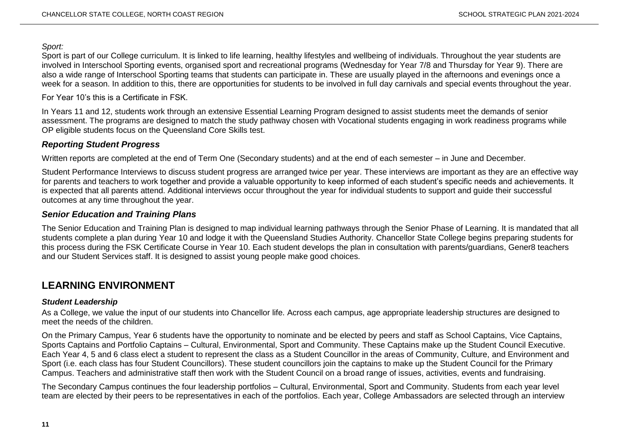*Sport:*

Sport is part of our College curriculum. It is linked to life learning, healthy lifestyles and wellbeing of individuals. Throughout the year students are involved in Interschool Sporting events, organised sport and recreational programs (Wednesday for Year 7/8 and Thursday for Year 9). There are also a wide range of Interschool Sporting teams that students can participate in. These are usually played in the afternoons and evenings once a week for a season. In addition to this, there are opportunities for students to be involved in full day carnivals and special events throughout the year.

#### For Year 10's this is a Certificate in FSK.

In Years 11 and 12, students work through an extensive Essential Learning Program designed to assist students meet the demands of senior assessment. The programs are designed to match the study pathway chosen with Vocational students engaging in work readiness programs while OP eligible students focus on the Queensland Core Skills test.

## *Reporting Student Progress*

Written reports are completed at the end of Term One (Secondary students) and at the end of each semester – in June and December.

Student Performance Interviews to discuss student progress are arranged twice per year. These interviews are important as they are an effective way for parents and teachers to work together and provide a valuable opportunity to keep informed of each student's specific needs and achievements. It is expected that all parents attend. Additional interviews occur throughout the year for individual students to support and guide their successful outcomes at any time throughout the year.

## *Senior Education and Training Plans*

The Senior Education and Training Plan is designed to map individual learning pathways through the Senior Phase of Learning. It is mandated that all students complete a plan during Year 10 and lodge it with the Queensland Studies Authority. Chancellor State College begins preparing students for this process during the FSK Certificate Course in Year 10. Each student develops the plan in consultation with parents/guardians, Gener8 teachers and our Student Services staff. It is designed to assist young people make good choices.

# **LEARNING ENVIRONMENT**

### *Student Leadership*

As a College, we value the input of our students into Chancellor life. Across each campus, age appropriate leadership structures are designed to meet the needs of the children.

On the Primary Campus, Year 6 students have the opportunity to nominate and be elected by peers and staff as School Captains, Vice Captains, Sports Captains and Portfolio Captains – Cultural, Environmental, Sport and Community. These Captains make up the Student Council Executive. Each Year 4, 5 and 6 class elect a student to represent the class as a Student Councillor in the areas of Community, Culture, and Environment and Sport (i.e. each class has four Student Councillors). These student councillors join the captains to make up the Student Council for the Primary Campus. Teachers and administrative staff then work with the Student Council on a broad range of issues, activities, events and fundraising.

The Secondary Campus continues the four leadership portfolios – Cultural, Environmental, Sport and Community. Students from each year level team are elected by their peers to be representatives in each of the portfolios. Each year, College Ambassadors are selected through an interview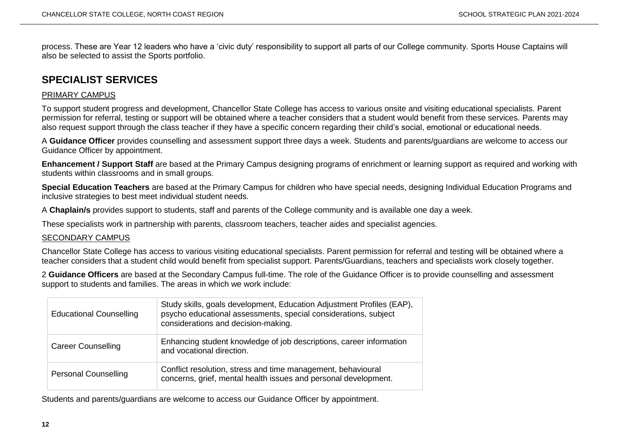process. These are Year 12 leaders who have a 'civic duty' responsibility to support all parts of our College community. Sports House Captains will also be selected to assist the Sports portfolio.

# **SPECIALIST SERVICES**

#### PRIMARY CAMPUS

To support student progress and development, Chancellor State College has access to various onsite and visiting educational specialists. Parent permission for referral, testing or support will be obtained where a teacher considers that a student would benefit from these services. Parents may also request support through the class teacher if they have a specific concern regarding their child's social, emotional or educational needs.

A **Guidance Officer** provides counselling and assessment support three days a week. Students and parents/guardians are welcome to access our Guidance Officer by appointment.

**Enhancement / Support Staff** are based at the Primary Campus designing programs of enrichment or learning support as required and working with students within classrooms and in small groups.

**Special Education Teachers** are based at the Primary Campus for children who have special needs, designing Individual Education Programs and inclusive strategies to best meet individual student needs.

A **Chaplain/s** provides support to students, staff and parents of the College community and is available one day a week.

These specialists work in partnership with parents, classroom teachers, teacher aides and specialist agencies.

#### SECONDARY CAMPUS

Chancellor State College has access to various visiting educational specialists. Parent permission for referral and testing will be obtained where a teacher considers that a student child would benefit from specialist support. Parents/Guardians, teachers and specialists work closely together.

2 **Guidance Officers** are based at the Secondary Campus full-time. The role of the Guidance Officer is to provide counselling and assessment support to students and families. The areas in which we work include:

| <b>Educational Counselling</b> | Study skills, goals development, Education Adjustment Profiles (EAP),<br>psycho educational assessments, special considerations, subject<br>considerations and decision-making. |
|--------------------------------|---------------------------------------------------------------------------------------------------------------------------------------------------------------------------------|
| <b>Career Counselling</b>      | Enhancing student knowledge of job descriptions, career information<br>and vocational direction.                                                                                |
| <b>Personal Counselling</b>    | Conflict resolution, stress and time management, behavioural<br>concerns, grief, mental health issues and personal development.                                                 |

Students and parents/guardians are welcome to access our Guidance Officer by appointment.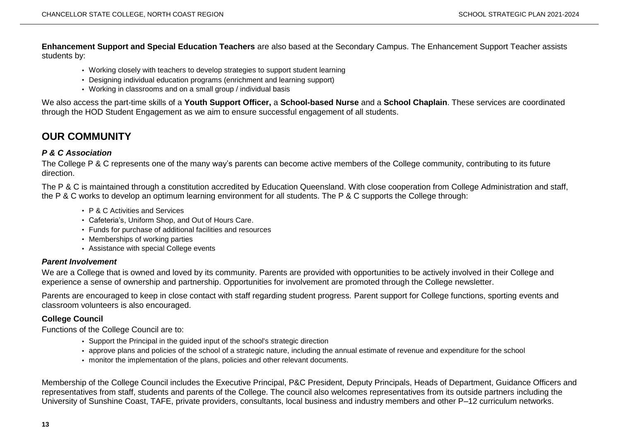**Enhancement Support and Special Education Teachers** are also based at the Secondary Campus. The Enhancement Support Teacher assists students by:

- Working closely with teachers to develop strategies to support student learning
- Designing individual education programs (enrichment and learning support)
- Working in classrooms and on a small group / individual basis

We also access the part-time skills of a **Youth Support Officer,** a **School-based Nurse** and a **School Chaplain**. These services are coordinated through the HOD Student Engagement as we aim to ensure successful engagement of all students.

# **OUR COMMUNITY**

#### *P & C Association*

The College P & C represents one of the many way's parents can become active members of the College community, contributing to its future direction.

The P & C is maintained through a constitution accredited by Education Queensland. With close cooperation from College Administration and staff, the P & C works to develop an optimum learning environment for all students. The P & C supports the College through:

- P & C Activities and Services
- Cafeteria's, Uniform Shop, and Out of Hours Care.
- Funds for purchase of additional facilities and resources
- Memberships of working parties
- Assistance with special College events

#### *Parent Involvement*

We are a College that is owned and loved by its community. Parents are provided with opportunities to be actively involved in their College and experience a sense of ownership and partnership. Opportunities for involvement are promoted through the College newsletter.

Parents are encouraged to keep in close contact with staff regarding student progress. Parent support for College functions, sporting events and classroom volunteers is also encouraged.

#### **College Council**

Functions of the College Council are to:

- Support the Principal in the guided input of the school's strategic direction
- approve plans and policies of the school of a strategic nature, including the annual estimate of revenue and expenditure for the school
- monitor the implementation of the plans, policies and other relevant documents.

Membership of the College Council includes the Executive Principal, P&C President, Deputy Principals, Heads of Department, Guidance Officers and representatives from staff, students and parents of the College. The council also welcomes representatives from its outside partners including the University of Sunshine Coast, TAFE, private providers, consultants, local business and industry members and other P–12 curriculum networks.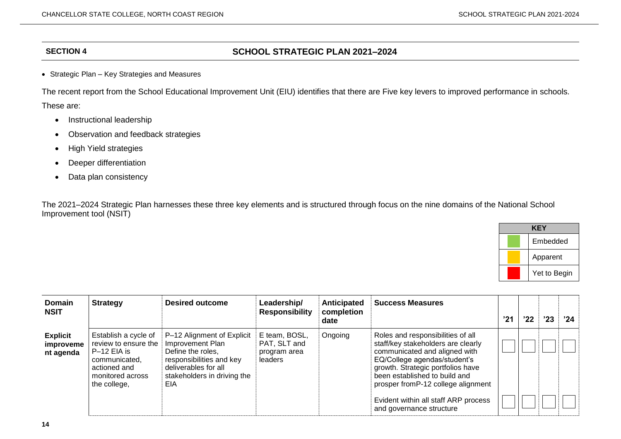## **SECTION 4 SCHOOL STRATEGIC PLAN 2021–2024**

• Strategic Plan – Key Strategies and Measures

The recent report from the School Educational Improvement Unit (EIU) identifies that there are Five key levers to improved performance in schools. These are:

- Instructional leadership
- Observation and feedback strategies
- High Yield strategies
- Deeper differentiation
- Data plan consistency

The 2021–2024 Strategic Plan harnesses these three key elements and is structured through focus on the nine domains of the National School Improvement tool (NSIT)

| KEY          |  |  |  |  |  |  |  |
|--------------|--|--|--|--|--|--|--|
| Embedded     |  |  |  |  |  |  |  |
| Apparent     |  |  |  |  |  |  |  |
| Yet to Begin |  |  |  |  |  |  |  |

| <b>Domain</b><br><b>NSIT</b>              | <b>Strategy</b>                                                                                                                    | <b>Desired outcome</b>                                                                                                                                        | Leadership/<br><b>Responsibility</b>                     | <b>Anticipated</b><br>completion<br>date | <b>Success Measures</b>                                                                                                                                                                                                                               | '21 | '22 | '23 | '24 |
|-------------------------------------------|------------------------------------------------------------------------------------------------------------------------------------|---------------------------------------------------------------------------------------------------------------------------------------------------------------|----------------------------------------------------------|------------------------------------------|-------------------------------------------------------------------------------------------------------------------------------------------------------------------------------------------------------------------------------------------------------|-----|-----|-----|-----|
| <b>Explicit</b><br>improveme<br>nt agenda | Establish a cycle of<br>review to ensure the<br>$P-12$ EIA is<br>communicated,<br>actioned and<br>monitored across<br>the college, | P-12 Alignment of Explicit<br>Improvement Plan<br>Define the roles,<br>responsibilities and key<br>deliverables for all<br>stakeholders in driving the<br>EIA | E team, BOSL,<br>PAT, SLT and<br>program area<br>leaders | Ongoing                                  | Roles and responsibilities of all<br>staff/key stakeholders are clearly<br>communicated and aligned with<br>EQ/College agendas/student's<br>growth. Strategic portfolios have<br>been established to build and<br>prosper from P-12 college alignment |     |     |     |     |
|                                           |                                                                                                                                    |                                                                                                                                                               |                                                          |                                          | Evident within all staff ARP process<br>and governance structure                                                                                                                                                                                      |     |     |     |     |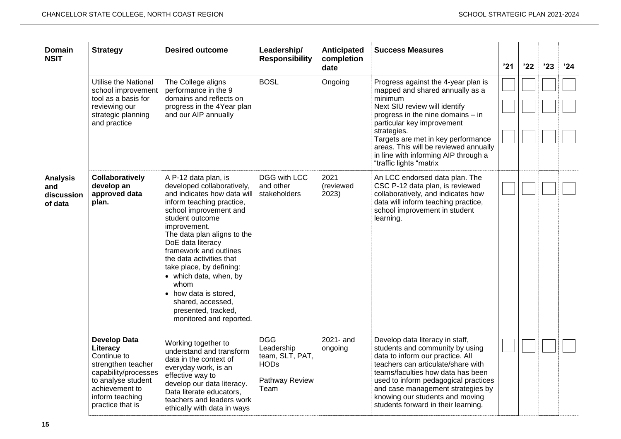| <b>Domain</b><br><b>NSIT</b>                    | <b>Strategy</b>                                                                                                                                                             | <b>Desired outcome</b>                                                                                                                                                                                                                                                                                                                                                                                                                              | Leadership/<br><b>Responsibility</b>                                                 | Anticipated<br>completion  | <b>Success Measures</b>                                                                                                                                                                                                                                                                                                                                |     |     |     |      |
|-------------------------------------------------|-----------------------------------------------------------------------------------------------------------------------------------------------------------------------------|-----------------------------------------------------------------------------------------------------------------------------------------------------------------------------------------------------------------------------------------------------------------------------------------------------------------------------------------------------------------------------------------------------------------------------------------------------|--------------------------------------------------------------------------------------|----------------------------|--------------------------------------------------------------------------------------------------------------------------------------------------------------------------------------------------------------------------------------------------------------------------------------------------------------------------------------------------------|-----|-----|-----|------|
|                                                 | Utilise the National<br>school improvement<br>tool as a basis for<br>reviewing our<br>strategic planning<br>and practice                                                    | The College aligns<br>performance in the 9<br>domains and reflects on<br>progress in the 4Year plan<br>and our AIP annually                                                                                                                                                                                                                                                                                                                         | <b>BOSL</b>                                                                          | date<br>Ongoing            | Progress against the 4-year plan is<br>mapped and shared annually as a<br>minimum<br>Next SIU review will identify<br>progress in the nine domains - in<br>particular key improvement<br>strategies.<br>Targets are met in key performance<br>areas. This will be reviewed annually<br>in line with informing AIP through a<br>"traffic lights "matrix | '21 | '22 | '23 | '24' |
| <b>Analysis</b><br>and<br>discussion<br>of data | Collaboratively<br>develop an<br>approved data<br>plan.                                                                                                                     | A P-12 data plan, is<br>developed collaboratively,<br>and indicates how data will<br>inform teaching practice,<br>school improvement and<br>student outcome<br>improvement.<br>The data plan aligns to the<br>DoE data literacy<br>framework and outlines<br>the data activities that<br>take place, by defining:<br>• which data, when, by<br>whom<br>• how data is stored,<br>shared, accessed,<br>presented, tracked,<br>monitored and reported. | DGG with LCC<br>and other<br>stakeholders                                            | 2021<br>(reviewed<br>2023) | An LCC endorsed data plan. The<br>CSC P-12 data plan, is reviewed<br>collaboratively, and indicates how<br>data will inform teaching practice,<br>school improvement in student<br>learning.                                                                                                                                                           |     |     |     |      |
|                                                 | <b>Develop Data</b><br>Literacy<br>Continue to<br>strengthen teacher<br>capability/processes<br>to analyse student<br>achievement to<br>inform teaching<br>practice that is | Working together to<br>understand and transform<br>data in the context of<br>everyday work, is an<br>effective way to<br>develop our data literacy.<br>Data literate educators,<br>teachers and leaders work<br>ethically with data in ways                                                                                                                                                                                                         | <b>DGG</b><br>Leadership<br>team, SLT, PAT,<br><b>HODs</b><br>Pathway Review<br>Team | 2021- and<br>ongoing       | Develop data literacy in staff,<br>students and community by using<br>data to inform our practice. All<br>teachers can articulate/share with<br>teams/faculties how data has been<br>used to inform pedagogical practices<br>and case management strategies by<br>knowing our students and moving<br>students forward in their learning.               |     |     |     |      |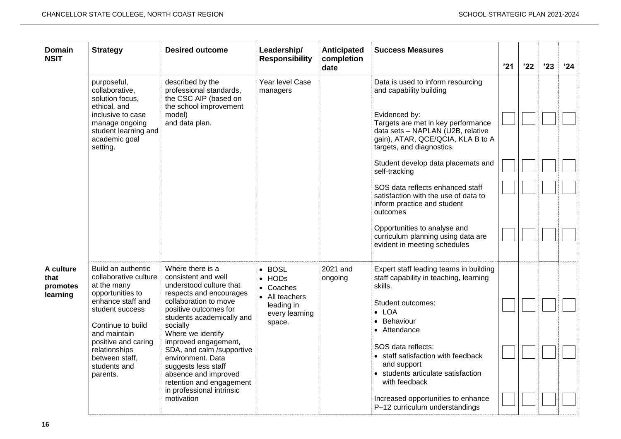| <b>Domain</b><br><b>NSIT</b>              | <b>Strategy</b>                                                                                                                                                                                                                                   | <b>Desired outcome</b>                                                                                                                                                                                                                                                                                                                                                                                        | Leadership/<br><b>Responsibility</b>                                                      | Anticipated<br>completion<br>date | <b>Success Measures</b>                                                                                                                                                                                                                                                                                                                                                                                                                                                                                        | '21 | '22 | '23 | '24 |
|-------------------------------------------|---------------------------------------------------------------------------------------------------------------------------------------------------------------------------------------------------------------------------------------------------|---------------------------------------------------------------------------------------------------------------------------------------------------------------------------------------------------------------------------------------------------------------------------------------------------------------------------------------------------------------------------------------------------------------|-------------------------------------------------------------------------------------------|-----------------------------------|----------------------------------------------------------------------------------------------------------------------------------------------------------------------------------------------------------------------------------------------------------------------------------------------------------------------------------------------------------------------------------------------------------------------------------------------------------------------------------------------------------------|-----|-----|-----|-----|
|                                           | purposeful,<br>collaborative,<br>solution focus,<br>ethical, and<br>inclusive to case<br>manage ongoing<br>student learning and<br>academic goal<br>setting.                                                                                      | described by the<br>professional standards,<br>the CSC AIP (based on<br>the school improvement<br>model)<br>and data plan.                                                                                                                                                                                                                                                                                    | Year level Case<br>managers                                                               |                                   | Data is used to inform resourcing<br>and capability building<br>Evidenced by:<br>Targets are met in key performance<br>data sets - NAPLAN (U2B, relative<br>gain), ATAR, QCE/QCIA, KLA B to A<br>targets, and diagnostics.<br>Student develop data placemats and<br>self-tracking<br>SOS data reflects enhanced staff<br>satisfaction with the use of data to<br>inform practice and student<br>outcomes<br>Opportunities to analyse and<br>curriculum planning using data are<br>evident in meeting schedules |     |     |     |     |
| A culture<br>that<br>promotes<br>learning | Build an authentic<br>collaborative culture<br>at the many<br>opportunities to<br>enhance staff and<br>student success<br>Continue to build<br>and maintain<br>positive and caring<br>relationships<br>between staff,<br>students and<br>parents. | Where there is a<br>consistent and well<br>understood culture that<br>respects and encourages<br>collaboration to move<br>positive outcomes for<br>students academically and<br>socially<br>Where we identify<br>improved engagement,<br>SDA, and calm /supportive<br>environment. Data<br>suggests less staff<br>absence and improved<br>retention and engagement<br>in professional intrinsic<br>motivation | • BOSL<br>• HODs<br>• Coaches<br>• All teachers<br>leading in<br>every learning<br>space. | 2021 and<br>ongoing               | Expert staff leading teams in building<br>staff capability in teaching, learning<br>skills.<br>Student outcomes:<br>$\bullet$ LOA<br>• Behaviour<br>• Attendance<br>SOS data reflects:<br>• staff satisfaction with feedback<br>and support<br>• students articulate satisfaction<br>with feedback<br>Increased opportunities to enhance<br>P-12 curriculum understandings                                                                                                                                     |     |     |     |     |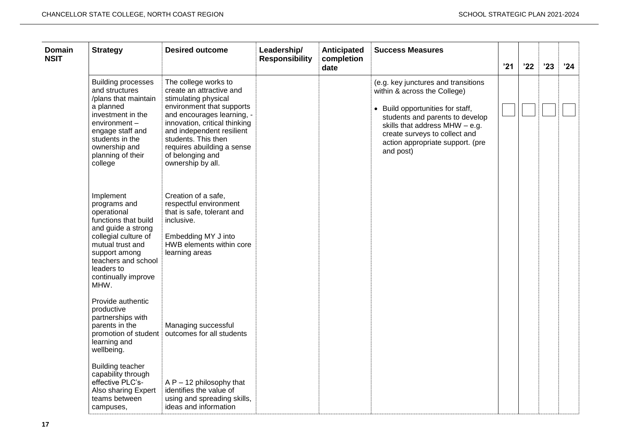| <b>Domain</b><br><b>NSIT</b> | <b>Strategy</b>                                                                                                                                                                                                         | <b>Desired outcome</b>                                                                                                                                                                                                                                                                          | Leadership/<br><b>Responsibility</b> | Anticipated<br>completion<br>date | <b>Success Measures</b>                                                                                                                                                                                                                                        | '21 | '22 | '23 | '24 |
|------------------------------|-------------------------------------------------------------------------------------------------------------------------------------------------------------------------------------------------------------------------|-------------------------------------------------------------------------------------------------------------------------------------------------------------------------------------------------------------------------------------------------------------------------------------------------|--------------------------------------|-----------------------------------|----------------------------------------------------------------------------------------------------------------------------------------------------------------------------------------------------------------------------------------------------------------|-----|-----|-----|-----|
|                              | <b>Building processes</b><br>and structures<br>/plans that maintain<br>a planned<br>investment in the<br>$environment -$<br>engage staff and<br>students in the<br>ownership and<br>planning of their<br>college        | The college works to<br>create an attractive and<br>stimulating physical<br>environment that supports<br>and encourages learning, -<br>innovation, critical thinking<br>and independent resilient<br>students. This then<br>requires abuilding a sense<br>of belonging and<br>ownership by all. |                                      |                                   | (e.g. key junctures and transitions<br>within & across the College)<br>• Build opportunities for staff,<br>students and parents to develop<br>skills that address MHW - e.g.<br>create surveys to collect and<br>action appropriate support. (pre<br>and post) |     |     |     |     |
|                              | Implement<br>programs and<br>operational<br>functions that build<br>and guide a strong<br>collegial culture of<br>mutual trust and<br>support among<br>teachers and school<br>leaders to<br>continually improve<br>MHW. | Creation of a safe,<br>respectful environment<br>that is safe, tolerant and<br>inclusive.<br>Embedding MY J into<br>HWB elements within core<br>learning areas                                                                                                                                  |                                      |                                   |                                                                                                                                                                                                                                                                |     |     |     |     |
|                              | Provide authentic<br>productive<br>partnerships with<br>parents in the<br>learning and<br>wellbeing.                                                                                                                    | Managing successful<br>promotion of student   outcomes for all students                                                                                                                                                                                                                         |                                      |                                   |                                                                                                                                                                                                                                                                |     |     |     |     |
|                              | <b>Building teacher</b><br>capability through<br>effective PLC's-<br>Also sharing Expert<br>teams between<br>campuses,                                                                                                  | $AP - 12$ philosophy that<br>identifies the value of<br>using and spreading skills,<br>ideas and information                                                                                                                                                                                    |                                      |                                   |                                                                                                                                                                                                                                                                |     |     |     |     |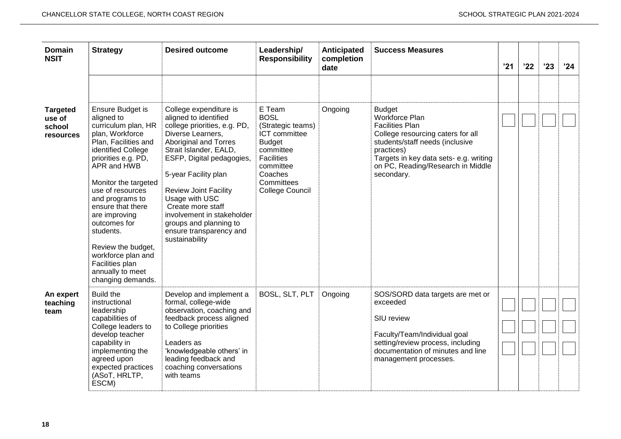| <b>Domain</b><br><b>NSIT</b>                     | <b>Strategy</b>                                                                                                                                                                                                                                                                                                                                                                                        | <b>Desired outcome</b>                                                                                                                                                                                                                                                                                                                                                                   | Leadership/<br><b>Responsibility</b>                                                                                                                                           | Anticipated<br>completion<br>date | <b>Success Measures</b>                                                                                                                                                                                                                      | '21 | '22 | '23 | '24 |
|--------------------------------------------------|--------------------------------------------------------------------------------------------------------------------------------------------------------------------------------------------------------------------------------------------------------------------------------------------------------------------------------------------------------------------------------------------------------|------------------------------------------------------------------------------------------------------------------------------------------------------------------------------------------------------------------------------------------------------------------------------------------------------------------------------------------------------------------------------------------|--------------------------------------------------------------------------------------------------------------------------------------------------------------------------------|-----------------------------------|----------------------------------------------------------------------------------------------------------------------------------------------------------------------------------------------------------------------------------------------|-----|-----|-----|-----|
| <b>Targeted</b><br>use of<br>school<br>resources | Ensure Budget is<br>aligned to<br>curriculum plan, HR<br>plan, Workforce<br>Plan, Facilities and<br>identified College<br>priorities e.g. PD,<br>APR and HWB<br>Monitor the targeted<br>use of resources<br>and programs to<br>ensure that there<br>are improving<br>outcomes for<br>students.<br>Review the budget,<br>workforce plan and<br>Facilities plan<br>annually to meet<br>changing demands. | College expenditure is<br>aligned to identified<br>college priorities, e.g. PD,<br>Diverse Learners,<br>Aboriginal and Torres<br>Strait Islander, EALD,<br>ESFP, Digital pedagogies,<br>5-year Facility plan<br><b>Review Joint Facility</b><br>Usage with USC<br>Create more staff<br>involvement in stakeholder<br>groups and planning to<br>ensure transparency and<br>sustainability | E Team<br><b>BOSL</b><br>(Strategic teams)<br><b>ICT</b> committee<br><b>Budget</b><br>committee<br><b>Facilities</b><br>committee<br>Coaches<br>Committees<br>College Council | Ongoing                           | <b>Budget</b><br>Workforce Plan<br><b>Facilities Plan</b><br>College resourcing caters for all<br>students/staff needs (inclusive<br>practices)<br>Targets in key data sets- e.g. writing<br>on PC, Reading/Research in Middle<br>secondary. |     |     |     |     |
| An expert<br>teaching<br>team                    | <b>Build the</b><br>instructional<br>leadership<br>capabilities of<br>College leaders to<br>develop teacher<br>capability in<br>implementing the<br>agreed upon<br>expected practices<br>(ASoT, HRLTP,<br>ESCM)                                                                                                                                                                                        | Develop and implement a<br>formal, college-wide<br>observation, coaching and<br>feedback process aligned<br>to College priorities<br>Leaders as<br>'knowledgeable others' in<br>leading feedback and<br>coaching conversations<br>with teams                                                                                                                                             | BOSL, SLT, PLT                                                                                                                                                                 | Ongoing                           | SOS/SORD data targets are met or<br>exceeded<br>SIU review<br>Faculty/Team/Individual goal<br>setting/review process, including<br>documentation of minutes and line<br>management processes.                                                |     |     |     |     |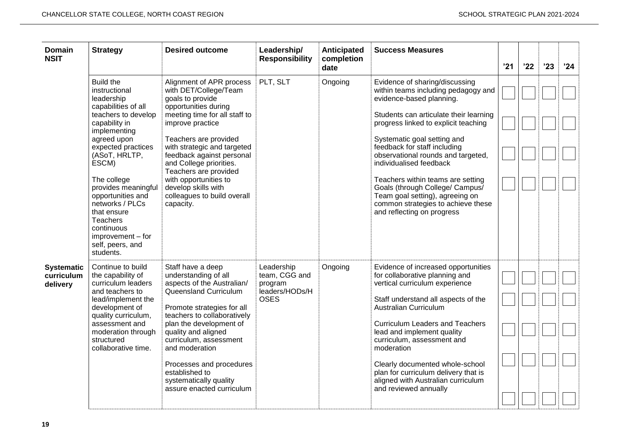| <b>Domain</b><br><b>NSIT</b>                | <b>Strategy</b>                                                                                                                                                                                                                                                                                                                                                                   | <b>Desired outcome</b>                                                                                                                                                                                                                                                                                                                                                                  | Leadership/<br><b>Responsibility</b>                                    | Anticipated<br>completion<br>date | <b>Success Measures</b>                                                                                                                                                                                                                                                                                                                                                                                                                                                                            | '21 | '22 | '23 | '24 |
|---------------------------------------------|-----------------------------------------------------------------------------------------------------------------------------------------------------------------------------------------------------------------------------------------------------------------------------------------------------------------------------------------------------------------------------------|-----------------------------------------------------------------------------------------------------------------------------------------------------------------------------------------------------------------------------------------------------------------------------------------------------------------------------------------------------------------------------------------|-------------------------------------------------------------------------|-----------------------------------|----------------------------------------------------------------------------------------------------------------------------------------------------------------------------------------------------------------------------------------------------------------------------------------------------------------------------------------------------------------------------------------------------------------------------------------------------------------------------------------------------|-----|-----|-----|-----|
|                                             | <b>Build the</b><br>instructional<br>leadership<br>capabilities of all<br>teachers to develop<br>capability in<br>implementing<br>agreed upon<br>expected practices<br>(ASoT, HRLTP,<br>ESCM)<br>The college<br>provides meaningful<br>opportunities and<br>networks / PLCs<br>that ensure<br><b>Teachers</b><br>continuous<br>improvement – for<br>self, peers, and<br>students. | Alignment of APR process<br>with DET/College/Team<br>goals to provide<br>opportunities during<br>meeting time for all staff to<br>improve practice<br>Teachers are provided<br>with strategic and targeted<br>feedback against personal<br>and College priorities.<br>Teachers are provided<br>with opportunities to<br>develop skills with<br>colleagues to build overall<br>capacity. | PLT, SLT                                                                | Ongoing                           | Evidence of sharing/discussing<br>within teams including pedagogy and<br>evidence-based planning.<br>Students can articulate their learning<br>progress linked to explicit teaching<br>Systematic goal setting and<br>feedback for staff including<br>observational rounds and targeted,<br>individualised feedback<br>Teachers within teams are setting<br>Goals (through College/ Campus/<br>Team goal setting), agreeing on<br>common strategies to achieve these<br>and reflecting on progress |     |     |     |     |
| <b>Systematic</b><br>curriculum<br>delivery | Continue to build<br>the capability of<br>curriculum leaders<br>and teachers to<br>lead/implement the<br>development of<br>quality curriculum,<br>assessment and<br>moderation through<br>structured<br>collaborative time.                                                                                                                                                       | Staff have a deep<br>understanding of all<br>aspects of the Australian/<br>Queensland Curriculum<br>Promote strategies for all<br>teachers to collaboratively<br>plan the development of<br>quality and aligned<br>curriculum, assessment<br>and moderation<br>Processes and procedures<br>established to<br>systematically quality<br>assure enacted curriculum                        | Leadership<br>team, CGG and<br>program<br>leaders/HODs/H<br><b>OSES</b> | Ongoing                           | Evidence of increased opportunities<br>for collaborative planning and<br>vertical curriculum experience<br>Staff understand all aspects of the<br>Australian Curriculum<br><b>Curriculum Leaders and Teachers</b><br>lead and implement quality<br>curriculum, assessment and<br>moderation<br>Clearly documented whole-school<br>plan for curriculum delivery that is<br>aligned with Australian curriculum<br>and reviewed annually                                                              |     |     |     |     |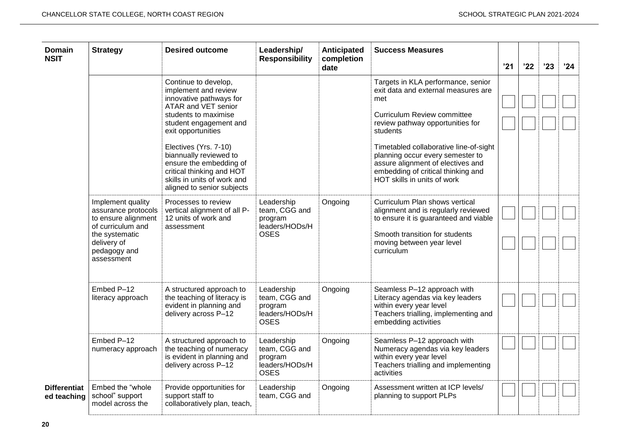| Domain<br><b>NSIT</b>              | <b>Strategy</b>                                                                                                                                     | <b>Desired outcome</b>                                                                                                                                                                                                                                                                                                                         | Leadership/<br><b>Responsibility</b>                                    | Anticipated<br>completion<br>date | <b>Success Measures</b>                                                                                                                                                                                                                                                                                                                                        | '21 | '22 | '23 | '24 |
|------------------------------------|-----------------------------------------------------------------------------------------------------------------------------------------------------|------------------------------------------------------------------------------------------------------------------------------------------------------------------------------------------------------------------------------------------------------------------------------------------------------------------------------------------------|-------------------------------------------------------------------------|-----------------------------------|----------------------------------------------------------------------------------------------------------------------------------------------------------------------------------------------------------------------------------------------------------------------------------------------------------------------------------------------------------------|-----|-----|-----|-----|
|                                    |                                                                                                                                                     | Continue to develop,<br>implement and review<br>innovative pathways for<br>ATAR and VET senior<br>students to maximise<br>student engagement and<br>exit opportunities<br>Electives (Yrs. 7-10)<br>biannually reviewed to<br>ensure the embedding of<br>critical thinking and HOT<br>skills in units of work and<br>aligned to senior subjects |                                                                         |                                   | Targets in KLA performance, senior<br>exit data and external measures are<br>met<br><b>Curriculum Review committee</b><br>review pathway opportunities for<br>students<br>Timetabled collaborative line-of-sight<br>planning occur every semester to<br>assure alignment of electives and<br>embedding of critical thinking and<br>HOT skills in units of work |     |     |     |     |
|                                    | Implement quality<br>assurance protocols<br>to ensure alignment<br>of curriculum and<br>the systematic<br>delivery of<br>pedagogy and<br>assessment | Processes to review<br>vertical alignment of all P-<br>12 units of work and<br>assessment                                                                                                                                                                                                                                                      | Leadership<br>team, CGG and<br>program<br>leaders/HODs/H<br><b>OSES</b> | Ongoing                           | Curriculum Plan shows vertical<br>alignment and is regularly reviewed<br>to ensure it is guaranteed and viable<br>Smooth transition for students<br>moving between year level<br>curriculum                                                                                                                                                                    |     |     |     |     |
|                                    | Embed P-12<br>literacy approach                                                                                                                     | A structured approach to<br>the teaching of literacy is<br>evident in planning and<br>delivery across P-12                                                                                                                                                                                                                                     | Leadership<br>team, CGG and<br>program<br>leaders/HODs/H<br><b>OSES</b> | Ongoing                           | Seamless P-12 approach with<br>Literacy agendas via key leaders<br>within every year level<br>Teachers trialling, implementing and<br>embedding activities                                                                                                                                                                                                     |     |     |     |     |
|                                    | Embed P-12<br>numeracy approach                                                                                                                     | A structured approach to<br>the teaching of numeracy<br>is evident in planning and<br>delivery across P-12                                                                                                                                                                                                                                     | Leadership<br>team, CGG and<br>program<br>leaders/HODs/H<br><b>OSES</b> | Ongoing                           | Seamless P-12 approach with<br>Numeracy agendas via key leaders<br>within every year level<br>Teachers trialling and implementing<br>activities                                                                                                                                                                                                                |     |     |     |     |
| <b>Differentiat</b><br>ed teaching | Embed the "whole<br>school" support<br>model across the                                                                                             | Provide opportunities for<br>support staff to<br>collaboratively plan, teach,                                                                                                                                                                                                                                                                  | Leadership<br>team, CGG and                                             | Ongoing                           | Assessment written at ICP levels/<br>planning to support PLPs                                                                                                                                                                                                                                                                                                  |     |     |     |     |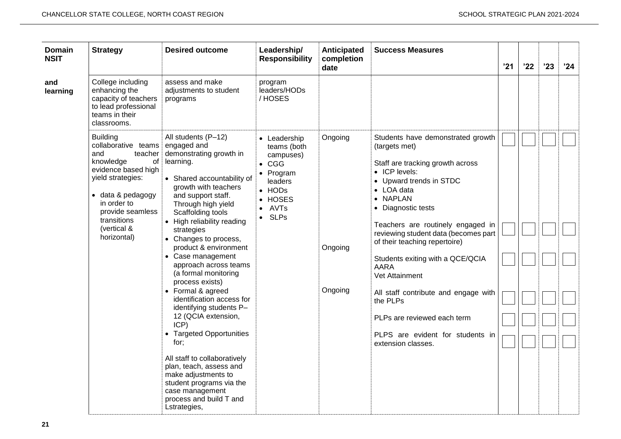| <b>Domain</b><br><b>NSIT</b> | <b>Strategy</b>                                                                                                                                                                                                                          | <b>Desired outcome</b>                                                                                                                                                                                                                                                                                                                                                                                                                                                                                                                                                                                                                                                                                | Leadership/<br><b>Responsibility</b>                                                                                                       | Anticipated<br>completion<br>date | <b>Success Measures</b>                                                                                                                                                                                                                                                                                                                                                                                                                                                                                            | '21 | '22 | '23 | '24 |
|------------------------------|------------------------------------------------------------------------------------------------------------------------------------------------------------------------------------------------------------------------------------------|-------------------------------------------------------------------------------------------------------------------------------------------------------------------------------------------------------------------------------------------------------------------------------------------------------------------------------------------------------------------------------------------------------------------------------------------------------------------------------------------------------------------------------------------------------------------------------------------------------------------------------------------------------------------------------------------------------|--------------------------------------------------------------------------------------------------------------------------------------------|-----------------------------------|--------------------------------------------------------------------------------------------------------------------------------------------------------------------------------------------------------------------------------------------------------------------------------------------------------------------------------------------------------------------------------------------------------------------------------------------------------------------------------------------------------------------|-----|-----|-----|-----|
| and<br>learning              | College including<br>enhancing the<br>capacity of teachers<br>to lead professional<br>teams in their<br>classrooms.                                                                                                                      | assess and make<br>adjustments to student<br>programs                                                                                                                                                                                                                                                                                                                                                                                                                                                                                                                                                                                                                                                 | program<br>leaders/HODs<br>/HOSES                                                                                                          |                                   |                                                                                                                                                                                                                                                                                                                                                                                                                                                                                                                    |     |     |     |     |
|                              | <b>Building</b><br>collaborative teams engaged and<br>and<br>teacher<br>knowledge<br>of<br>evidence based high<br>yield strategies:<br>• data & pedagogy<br>in order to<br>provide seamless<br>transitions<br>(vertical &<br>horizontal) | All students (P-12)<br>demonstrating growth in<br>learning.<br>• Shared accountability of<br>growth with teachers<br>and support staff.<br>Through high yield<br>Scaffolding tools<br>• High reliability reading<br>strategies<br>• Changes to process,<br>product & environment<br>• Case management<br>approach across teams<br>(a formal monitoring<br>process exists)<br>• Formal & agreed<br>identification access for<br>identifying students P-<br>12 (QCIA extension,<br>ICP)<br>• Targeted Opportunities<br>for;<br>All staff to collaboratively<br>plan, teach, assess and<br>make adjustments to<br>student programs via the<br>case management<br>process and build T and<br>Lstrategies, | • Leadership<br>teams (both<br>campuses)<br>$\bullet$ CGG<br>• Program<br>leaders<br>$\bullet$ HODs<br>• HOSES<br>• AVTs<br>$\bullet$ SLPs | Ongoing<br>Ongoing<br>Ongoing     | Students have demonstrated growth<br>(targets met)<br>Staff are tracking growth across<br>• ICP levels:<br>• Upward trends in STDC<br>• LOA data<br>• NAPLAN<br>• Diagnostic tests<br>Teachers are routinely engaged in<br>reviewing student data (becomes part<br>of their teaching repertoire)<br>Students exiting with a QCE/QCIA<br><b>AARA</b><br>Vet Attainment<br>All staff contribute and engage with<br>the PLPs<br>PLPs are reviewed each term<br>PLPS are evident for students in<br>extension classes. |     |     |     |     |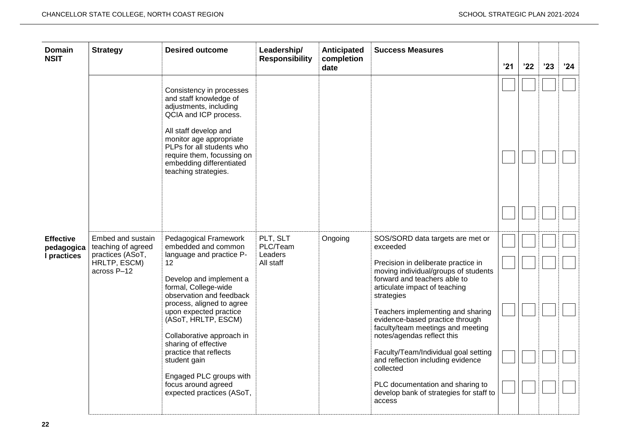| <b>Domain</b><br><b>NSIT</b>                  | <b>Strategy</b>                                                                            | <b>Desired outcome</b>                                                                                                                                                                                                                                                                                                                                                                                                                                                                                                                                                                                                                                                                                | Leadership/<br><b>Responsibility</b>         | Anticipated<br>completion<br>date | <b>Success Measures</b>                                                                                                                                                                                                                                                                                                                                                                                                                                                                                                                  | '21 | '22 | '23 | '24 |
|-----------------------------------------------|--------------------------------------------------------------------------------------------|-------------------------------------------------------------------------------------------------------------------------------------------------------------------------------------------------------------------------------------------------------------------------------------------------------------------------------------------------------------------------------------------------------------------------------------------------------------------------------------------------------------------------------------------------------------------------------------------------------------------------------------------------------------------------------------------------------|----------------------------------------------|-----------------------------------|------------------------------------------------------------------------------------------------------------------------------------------------------------------------------------------------------------------------------------------------------------------------------------------------------------------------------------------------------------------------------------------------------------------------------------------------------------------------------------------------------------------------------------------|-----|-----|-----|-----|
| <b>Effective</b><br>pedagogica<br>I practices | Embed and sustain<br>teaching of agreed<br>practices (ASoT,<br>HRLTP, ESCM)<br>across P-12 | Consistency in processes<br>and staff knowledge of<br>adjustments, including<br>QCIA and ICP process.<br>All staff develop and<br>monitor age appropriate<br>PLPs for all students who<br>require them, focussing on<br>embedding differentiated<br>teaching strategies.<br>Pedagogical Framework<br>embedded and common<br>language and practice P-<br>12<br>Develop and implement a<br>formal, College-wide<br>observation and feedback<br>process, aligned to agree<br>upon expected practice<br>(ASoT, HRLTP, ESCM)<br>Collaborative approach in<br>sharing of effective<br>practice that reflects<br>student gain<br>Engaged PLC groups with<br>focus around agreed<br>expected practices (ASoT, | PLT, SLT<br>PLC/Team<br>Leaders<br>All staff | Ongoing                           | SOS/SORD data targets are met or<br>exceeded<br>Precision in deliberate practice in<br>moving individual/groups of students<br>forward and teachers able to<br>articulate impact of teaching<br>strategies<br>Teachers implementing and sharing<br>evidence-based practice through<br>faculty/team meetings and meeting<br>notes/agendas reflect this<br>Faculty/Team/Individual goal setting<br>and reflection including evidence<br>collected<br>PLC documentation and sharing to<br>develop bank of strategies for staff to<br>access |     |     |     |     |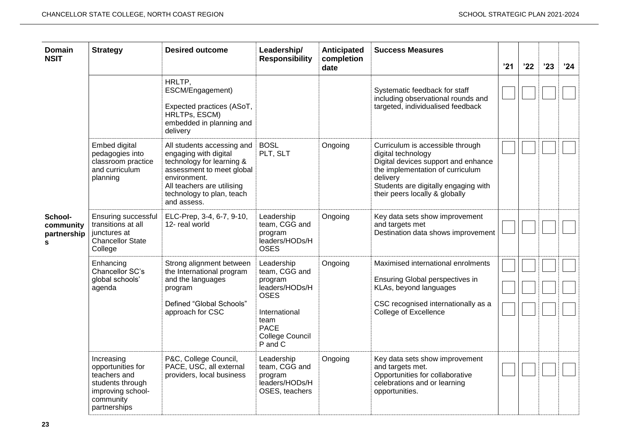| <b>Domain</b><br><b>NSIT</b>             | <b>Strategy</b>                                                                                                       | <b>Desired outcome</b>                                                                                                                                                                                         | Leadership/<br><b>Responsibility</b>                                                                                                                 | Anticipated<br>completion<br>date | <b>Success Measures</b>                                                                                                                                                                                                 | '21 | '22 | '23 | '24 |
|------------------------------------------|-----------------------------------------------------------------------------------------------------------------------|----------------------------------------------------------------------------------------------------------------------------------------------------------------------------------------------------------------|------------------------------------------------------------------------------------------------------------------------------------------------------|-----------------------------------|-------------------------------------------------------------------------------------------------------------------------------------------------------------------------------------------------------------------------|-----|-----|-----|-----|
| School-<br>community<br>partnership<br>S |                                                                                                                       | HRLTP,<br>ESCM/Engagement)<br>Expected practices (ASoT,<br>HRLTPs, ESCM)<br>embedded in planning and<br>delivery                                                                                               |                                                                                                                                                      |                                   | Systematic feedback for staff<br>including observational rounds and<br>targeted, individualised feedback                                                                                                                |     |     |     |     |
|                                          | Embed digital<br>pedagogies into<br>classroom practice<br>and curriculum<br>planning                                  | All students accessing and   BOSL<br>engaging with digital<br>technology for learning &<br>assessment to meet global<br>environment.<br>All teachers are utilising<br>technology to plan, teach<br>and assess. | PLT, SLT                                                                                                                                             | Ongoing                           | Curriculum is accessible through<br>digital technology<br>Digital devices support and enhance<br>the implementation of curriculum<br>delivery<br>Students are digitally engaging with<br>their peers locally & globally |     |     |     |     |
|                                          | Ensuring successful<br>transitions at all<br>junctures at<br>Chancellor State<br>College                              | ELC-Prep, 3-4, 6-7, 9-10,<br>12- real world                                                                                                                                                                    | Leadership<br>team, CGG and<br>program<br>leaders/HODs/H<br><b>OSES</b>                                                                              | Ongoing                           | Key data sets show improvement<br>and targets met<br>Destination data shows improvement                                                                                                                                 |     |     |     |     |
|                                          | Enhancing<br>Chancellor SC's<br>global schools'<br>agenda                                                             | Strong alignment between<br>the International program<br>and the languages<br>program<br>Defined "Global Schools"<br>approach for CSC                                                                          | Leadership<br>team, CGG and<br>program<br>leaders/HODs/H<br><b>OSES</b><br>International<br>team<br><b>PACE</b><br><b>College Council</b><br>P and C | Ongoing                           | Maximised international enrolments<br>Ensuring Global perspectives in<br>KLAs, beyond languages<br>CSC recognised internationally as a<br>College of Excellence                                                         |     |     |     |     |
|                                          | Increasing<br>opportunities for<br>teachers and<br>students through<br>improving school-<br>community<br>partnerships | P&C, College Council,<br>PACE, USC, all external<br>providers, local business                                                                                                                                  | Leadership<br>team, CGG and<br>program<br>leaders/HODs/H<br>OSES, teachers                                                                           | Ongoing                           | Key data sets show improvement<br>and targets met.<br>Opportunities for collaborative<br>celebrations and or learning<br>opportunities.                                                                                 |     |     |     |     |